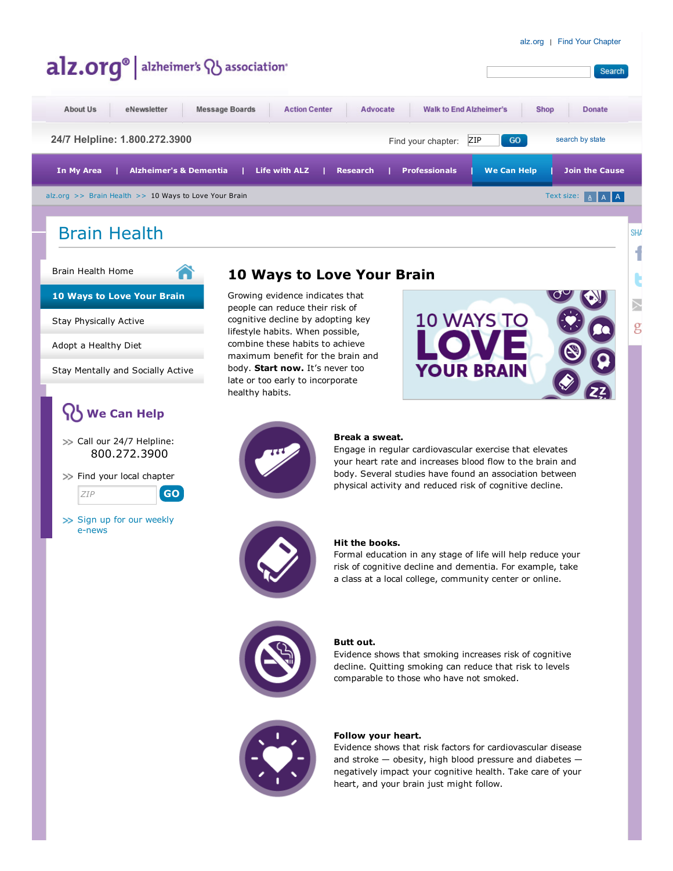Search

**SHA** ſ

g

## alz.org<sup>®</sup> alzheimer's **Q** association<sup>®</sup>

☎

| About Us                                                                            | eNewsletter                       | <b>Message Boards</b> | <b>Action Center</b> | Advocate        | <b>Walk to End Alzheimer's</b> |                    | <b>Shop</b> | <b>Donate</b>         |
|-------------------------------------------------------------------------------------|-----------------------------------|-----------------------|----------------------|-----------------|--------------------------------|--------------------|-------------|-----------------------|
| 24/7 Helpline: 1.800.272.3900<br>GO<br>search by state<br>ZIP<br>Find your chapter: |                                   |                       |                      |                 |                                |                    |             |                       |
| In My Area                                                                          | <b>Alzheimer's &amp; Dementia</b> |                       | Life with ALZ        | <b>Research</b> | <b>Professionals</b>           | <b>We Can Help</b> |             | <b>Join the Cause</b> |
| Text size: A A A<br>alz.org $\gg$ Brain Health $\gg$ 10 Ways to Love Your Brain     |                                   |                       |                      |                 |                                |                    |             |                       |
|                                                                                     |                                   |                       |                      |                 |                                |                    |             |                       |

## Brain Health

Brain [Health](http://www.alz.org/brain-health/brain_health_overview.asp) Home

10 [Ways](http://www.alz.org/brain-health/10_ways-to-love-your-brain.asp) to Love Your Brain

Stay [Physically](http://www.alz.org/brain-health/stay_physically_active.asp) Active

Adopt a [Healthy](http://www.alz.org/brain-health/adopt_healthy_diet.asp) Diet

Stay [Mentally](http://www.alz.org/brain-health/stay_mentally_socially_active.asp) and Socially Active

## We Can Help

>> Call our 24/7 Helpline: 800.272.3900

>> Find your local chapter

ZIP GO

>> Sign up for our weekly [enews](http://www.alz.org/apps/care-enews-form.asp?type=topNav)

### 10 Ways to Love Your Brain

Growing evidence indicates that people can reduce their risk of cognitive decline by adopting key lifestyle habits. When possible, combine these habits to achieve maximum benefit for the brain and body. Start now. It's never too late or too early to incorporate healthy habits.

# **10 WAYS TO YOUR BRAIN**



#### Break a sweat.

Engage in regular cardiovascular exercise that elevates your heart rate and increases blood flow to the brain and body. Several studies have found an association between physical activity and reduced risk of cognitive decline.



#### Hit the books.

Formal education in any stage of life will help reduce your risk of cognitive decline and dementia. For example, take a class at a local college, community center or online.



#### Butt out.

Evidence shows that smoking increases risk of cognitive decline. Quitting smoking can reduce that risk to levels comparable to those who have not smoked.



#### Follow your heart.

Evidence shows that risk factors for cardiovascular disease and stroke — obesity, high blood pressure and diabetes negatively impact your cognitive health. Take care of your heart, and your brain just might follow.